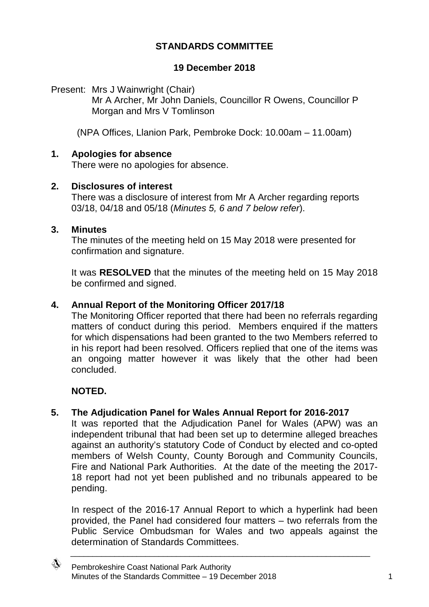# **STANDARDS COMMITTEE**

### **19 December 2018**

Present: Mrs J Wainwright (Chair) Mr A Archer, Mr John Daniels, Councillor R Owens, Councillor P Morgan and Mrs V Tomlinson

(NPA Offices, Llanion Park, Pembroke Dock: 10.00am – 11.00am)

### **1. Apologies for absence**

There were no apologies for absence.

#### **2. Disclosures of interest**

There was a disclosure of interest from Mr A Archer regarding reports 03/18, 04/18 and 05/18 (*Minutes 5, 6 and 7 below refer*).

#### **3. Minutes**

The minutes of the meeting held on 15 May 2018 were presented for confirmation and signature.

It was **RESOLVED** that the minutes of the meeting held on 15 May 2018 be confirmed and signed.

#### **4. Annual Report of the Monitoring Officer 2017/18**

The Monitoring Officer reported that there had been no referrals regarding matters of conduct during this period. Members enquired if the matters for which dispensations had been granted to the two Members referred to in his report had been resolved. Officers replied that one of the items was an ongoing matter however it was likely that the other had been concluded.

### **NOTED.**

### **5. The Adjudication Panel for Wales Annual Report for 2016-2017**

It was reported that the Adjudication Panel for Wales (APW) was an independent tribunal that had been set up to determine alleged breaches against an authority's statutory Code of Conduct by elected and co-opted members of Welsh County, County Borough and Community Councils, Fire and National Park Authorities. At the date of the meeting the 2017- 18 report had not yet been published and no tribunals appeared to be pending.

In respect of the 2016-17 Annual Report to which a hyperlink had been provided, the Panel had considered four matters – two referrals from the Public Service Ombudsman for Wales and two appeals against the determination of Standards Committees.

\_\_\_\_\_\_\_\_\_\_\_\_\_\_\_\_\_\_\_\_\_\_\_\_\_\_\_\_\_\_\_\_\_\_\_\_\_\_\_\_\_\_\_\_\_\_\_\_\_\_\_\_\_\_\_\_\_\_\_\_\_\_\_\_\_\_\_\_

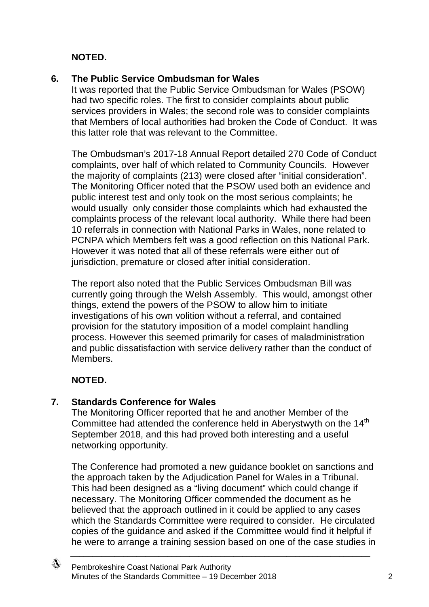**NOTED.**

# **6. The Public Service Ombudsman for Wales**

It was reported that the Public Service Ombudsman for Wales (PSOW) had two specific roles. The first to consider complaints about public services providers in Wales; the second role was to consider complaints that Members of local authorities had broken the Code of Conduct. It was this latter role that was relevant to the Committee.

The Ombudsman's 2017-18 Annual Report detailed 270 Code of Conduct complaints, over half of which related to Community Councils. However the majority of complaints (213) were closed after "initial consideration". The Monitoring Officer noted that the PSOW used both an evidence and public interest test and only took on the most serious complaints; he would usually only consider those complaints which had exhausted the complaints process of the relevant local authority. While there had been 10 referrals in connection with National Parks in Wales, none related to PCNPA which Members felt was a good reflection on this National Park. However it was noted that all of these referrals were either out of jurisdiction, premature or closed after initial consideration.

The report also noted that the Public Services Ombudsman Bill was currently going through the Welsh Assembly. This would, amongst other things, extend the powers of the PSOW to allow him to initiate investigations of his own volition without a referral, and contained provision for the statutory imposition of a model complaint handling process. However this seemed primarily for cases of maladministration and public dissatisfaction with service delivery rather than the conduct of Members.

# **NOTED.**

# **7. Standards Conference for Wales**

The Monitoring Officer reported that he and another Member of the Committee had attended the conference held in Aberystwyth on the 14<sup>th</sup> September 2018, and this had proved both interesting and a useful networking opportunity.

The Conference had promoted a new guidance booklet on sanctions and the approach taken by the Adjudication Panel for Wales in a Tribunal. This had been designed as a "living document" which could change if necessary. The Monitoring Officer commended the document as he believed that the approach outlined in it could be applied to any cases which the Standards Committee were required to consider. He circulated copies of the guidance and asked if the Committee would find it helpful if he were to arrange a training session based on one of the case studies in

\_\_\_\_\_\_\_\_\_\_\_\_\_\_\_\_\_\_\_\_\_\_\_\_\_\_\_\_\_\_\_\_\_\_\_\_\_\_\_\_\_\_\_\_\_\_\_\_\_\_\_\_\_\_\_\_\_\_\_\_\_\_\_\_\_\_\_\_